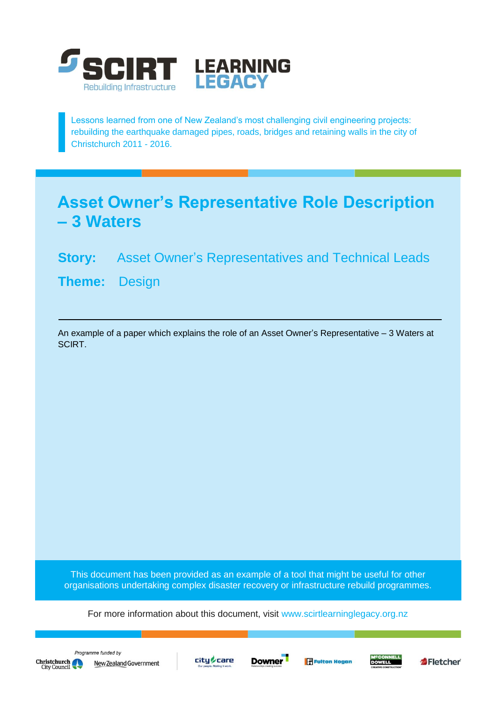

Lessons learned from one of New Zealand's most challenging civil engineering projects: rebuilding the earthquake damaged pipes, roads, bridges and retaining walls in the city of Christchurch 2011 - 2016.

## **Asset Owner's Representative Role Description – 3 Waters**

## **Story:** Asset Owner's Representatives and Technical Leads

**Theme:** Design

An example of a paper which explains the role of an Asset Owner's Representative – 3 Waters at SCIRT.

This document has been provided as an example of a tool that might be useful for other organisations undertaking complex disaster recovery or infrastructure rebuild programmes.

For more information about this document, visit [www.scirtlearninglegacy.org.nz](http://www.scirtlearninglegacy.org.nz/)









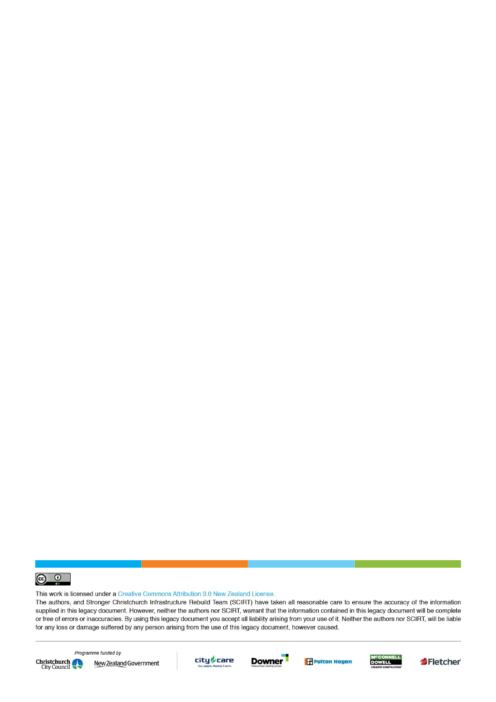

This work is licensed under a Creative Commons Attribution 3.0 New Zealand License.

The authors, and Stronger Christchurch Infrastructure Rebuild Team (SCIRT) have taken all reasonable care to ensure the accuracy of the information supplied in this legacy document. However, neither the authors nor SCIRT, warrant that the information contained in this legacy document will be complete or free of errors or inaccuracies. By using this legacy document you accept all liability arising from your use of it. Neither the authors nor SCIRT, will be liable for any loss or damage suffered by any person arising from the use of this legacy document, however caused.



Programme funded by New Zealand Government









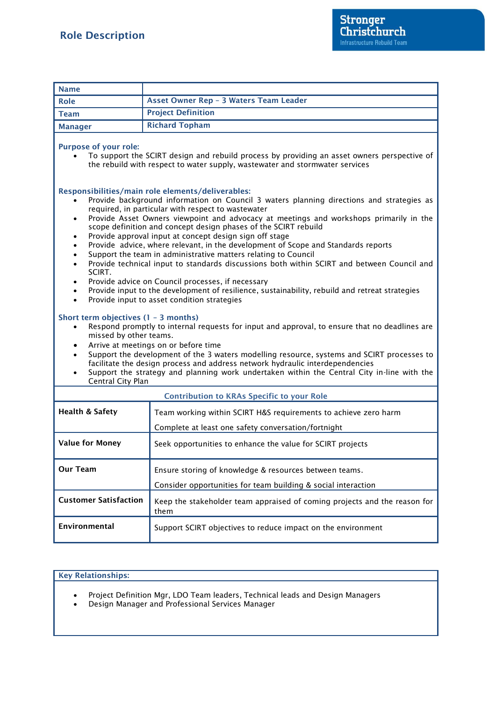| <b>Name</b>                                                                                                                                                                                                                                                                                                                                                                                                                                                                                                                                                                                                                                                                                                                                                                                                                                                                                                                                                                                                                                                                                                                                                                                                                                                                                                                                                                                                                                                                                                          |                                                                                                                         |
|----------------------------------------------------------------------------------------------------------------------------------------------------------------------------------------------------------------------------------------------------------------------------------------------------------------------------------------------------------------------------------------------------------------------------------------------------------------------------------------------------------------------------------------------------------------------------------------------------------------------------------------------------------------------------------------------------------------------------------------------------------------------------------------------------------------------------------------------------------------------------------------------------------------------------------------------------------------------------------------------------------------------------------------------------------------------------------------------------------------------------------------------------------------------------------------------------------------------------------------------------------------------------------------------------------------------------------------------------------------------------------------------------------------------------------------------------------------------------------------------------------------------|-------------------------------------------------------------------------------------------------------------------------|
| <b>Role</b>                                                                                                                                                                                                                                                                                                                                                                                                                                                                                                                                                                                                                                                                                                                                                                                                                                                                                                                                                                                                                                                                                                                                                                                                                                                                                                                                                                                                                                                                                                          | Asset Owner Rep - 3 Waters Team Leader                                                                                  |
| <b>Team</b>                                                                                                                                                                                                                                                                                                                                                                                                                                                                                                                                                                                                                                                                                                                                                                                                                                                                                                                                                                                                                                                                                                                                                                                                                                                                                                                                                                                                                                                                                                          | <b>Project Definition</b>                                                                                               |
| <b>Manager</b>                                                                                                                                                                                                                                                                                                                                                                                                                                                                                                                                                                                                                                                                                                                                                                                                                                                                                                                                                                                                                                                                                                                                                                                                                                                                                                                                                                                                                                                                                                       | <b>Richard Topham</b>                                                                                                   |
| <b>Purpose of your role:</b><br>To support the SCIRT design and rebuild process by providing an asset owners perspective of<br>the rebuild with respect to water supply, wastewater and stormwater services                                                                                                                                                                                                                                                                                                                                                                                                                                                                                                                                                                                                                                                                                                                                                                                                                                                                                                                                                                                                                                                                                                                                                                                                                                                                                                          |                                                                                                                         |
| Responsibilities/main role elements/deliverables:<br>Provide background information on Council 3 waters planning directions and strategies as<br>required, in particular with respect to wastewater<br>Provide Asset Owners viewpoint and advocacy at meetings and workshops primarily in the<br>$\bullet$<br>scope definition and concept design phases of the SCIRT rebuild<br>Provide approval input at concept design sign off stage<br>٠<br>Provide advice, where relevant, in the development of Scope and Standards reports<br>Support the team in administrative matters relating to Council<br>$\bullet$<br>Provide technical input to standards discussions both within SCIRT and between Council and<br>$\bullet$<br>SCIRT.<br>Provide advice on Council processes, if necessary<br>$\bullet$<br>Provide input to the development of resilience, sustainability, rebuild and retreat strategies<br>$\bullet$<br>Provide input to asset condition strategies<br>$\bullet$<br>Short term objectives $(1 - 3$ months)<br>Respond promptly to internal requests for input and approval, to ensure that no deadlines are<br>missed by other teams.<br>Arrive at meetings on or before time<br>$\bullet$<br>Support the development of the 3 waters modelling resource, systems and SCIRT processes to<br>$\bullet$<br>facilitate the design process and address network hydraulic interdependencies<br>Support the strategy and planning work undertaken within the Central City in-line with the<br>$\bullet$ |                                                                                                                         |
| Central City Plan<br><b>Contribution to KRAs Specific to your Role</b>                                                                                                                                                                                                                                                                                                                                                                                                                                                                                                                                                                                                                                                                                                                                                                                                                                                                                                                                                                                                                                                                                                                                                                                                                                                                                                                                                                                                                                               |                                                                                                                         |
| <b>Health &amp; Safety</b>                                                                                                                                                                                                                                                                                                                                                                                                                                                                                                                                                                                                                                                                                                                                                                                                                                                                                                                                                                                                                                                                                                                                                                                                                                                                                                                                                                                                                                                                                           | Team working within SCIRT H&S requirements to achieve zero harm<br>Complete at least one safety conversation/fortnight  |
| <b>Value for Money</b>                                                                                                                                                                                                                                                                                                                                                                                                                                                                                                                                                                                                                                                                                                                                                                                                                                                                                                                                                                                                                                                                                                                                                                                                                                                                                                                                                                                                                                                                                               | Seek opportunities to enhance the value for SCIRT projects                                                              |
| <b>Our Team</b>                                                                                                                                                                                                                                                                                                                                                                                                                                                                                                                                                                                                                                                                                                                                                                                                                                                                                                                                                                                                                                                                                                                                                                                                                                                                                                                                                                                                                                                                                                      | Ensure storing of knowledge & resources between teams.<br>Consider opportunities for team building & social interaction |
| <b>Customer Satisfaction</b>                                                                                                                                                                                                                                                                                                                                                                                                                                                                                                                                                                                                                                                                                                                                                                                                                                                                                                                                                                                                                                                                                                                                                                                                                                                                                                                                                                                                                                                                                         | Keep the stakeholder team appraised of coming projects and the reason for<br>them                                       |
| Environmental                                                                                                                                                                                                                                                                                                                                                                                                                                                                                                                                                                                                                                                                                                                                                                                                                                                                                                                                                                                                                                                                                                                                                                                                                                                                                                                                                                                                                                                                                                        | Support SCIRT objectives to reduce impact on the environment                                                            |

## **Key Relationships:**

Project Definition Mgr, LDO Team leaders, Technical leads and Design Managers

Design Manager and Professional Services Manager